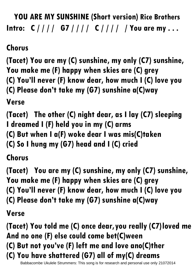**YOU ARE MY SUNSHINE (Short version) Rice Brothers Intro: C / / / / G7 / / / / C / / / / / You are my . . .** 

**Chorus**

**(Tacet) You are my (C) sunshine, my only (C7) sunshine, You make me (F) happy when skies are (C) grey (C) You'll never (F) know dear, how much I (C) love you (C) Please don't take my (G7) sunshine a(C)way**

**Verse**

**(Tacet) The other (C) night dear, as I lay (C7) sleeping I dreamed I (F) held you in my (C) arms**

**(C) But when I a(F) woke dear I was mis(C)taken**

**(C) So I hung my (G7) head and I (C) cried**

**Chorus**

**(Tacet) You are my (C) sunshine, my only (C7) sunshine, You make me (F) happy when skies are (C) grey (C) You'll never (F) know dear, how much I (C) love you (C) Please don't take my (G7) sunshine a(C)way**

**Verse**

**(Tacet) You told me (C) once dear,you really (C7)loved me And no one (F) else could come bet(C)ween (C) But not you've (F) left me and love ano(C)ther (C) You have shattered (G7) all of my(C) dreams** 

Babbacombe Ukulele Strummers: This song is for research and personal use only 21072014